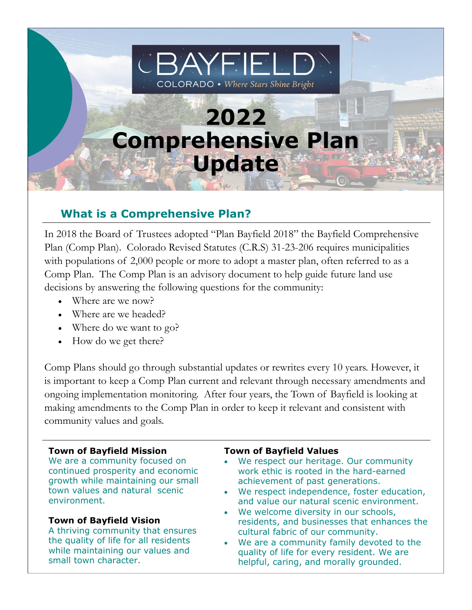# JBAYFIEL COLORADO • Where Stars Shine Bright

# **2022 Comprehensive Plan Update**

# **What is a Comprehensive Plan?**

In 2018 the Board of Trustees adopted "Plan Bayfield 2018" the Bayfield Comprehensive Plan (Comp Plan). Colorado Revised Statutes (C.R.S) 31-23-206 requires municipalities with populations of 2,000 people or more to adopt a master plan, often referred to as a Comp Plan. The Comp Plan is an advisory document to help guide future land use decisions by answering the following questions for the community:

- Where are we now?
- Where are we headed?
- Where do we want to go?
- How do we get there?

Comp Plans should go through substantial updates or rewrites every 10 years. However, it is important to keep a Comp Plan current and relevant through necessary amendments and ongoing implementation monitoring. After four years, the Town of Bayfield is looking at making amendments to the Comp Plan in order to keep it relevant and consistent with community values and goals.

### **Town of Bayfield Mission**

We are a community focused on continued prosperity and economic growth while maintaining our small town values and natural scenic environment.

### **Town of Bayfield Vision**

A thriving community that ensures the quality of life for all residents while maintaining our values and small town character.

#### **Town of Bayfield Values**

- We respect our heritage. Our community work ethic is rooted in the hard-earned achievement of past generations.
- We respect independence, foster education, and value our natural scenic environment.
- We welcome diversity in our schools, residents, and businesses that enhances the cultural fabric of our community.
- We are a community family devoted to the quality of life for every resident. We are helpful, caring, and morally grounded.